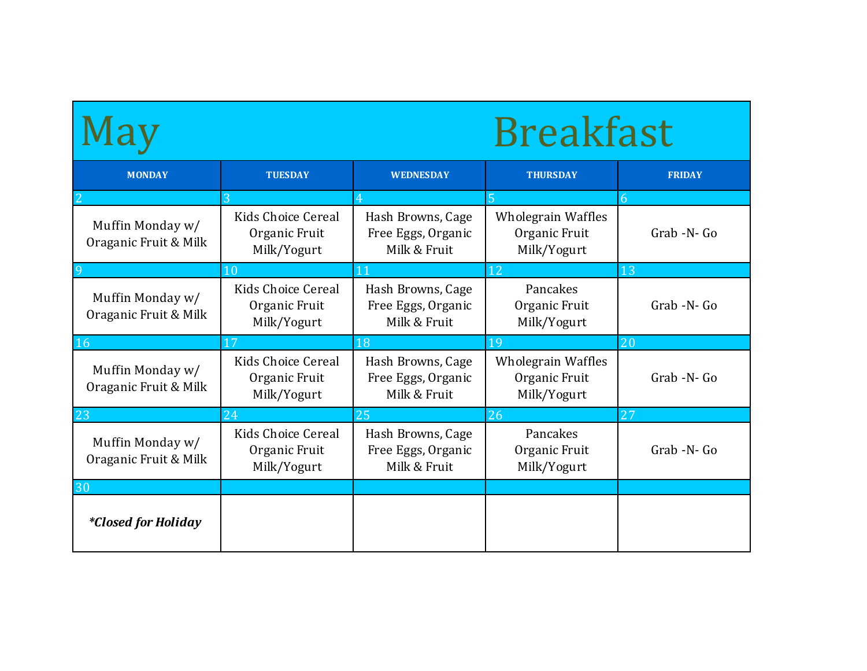|                                                                                                 |                                                           | <b>Breakfast</b>                                        |                                                           |               |
|-------------------------------------------------------------------------------------------------|-----------------------------------------------------------|---------------------------------------------------------|-----------------------------------------------------------|---------------|
| <b>MONDAY</b>                                                                                   | <b>TUESDAY</b>                                            | <b>WEDNESDAY</b>                                        | <b>THURSDAY</b>                                           | <b>FRIDAY</b> |
|                                                                                                 | 3                                                         |                                                         |                                                           | 6             |
| Muffin Monday w/<br>Oraganic Fruit & Milk                                                       | Kids Choice Cereal<br>Organic Fruit<br>Milk/Yogurt        | Hash Browns, Cage<br>Free Eggs, Organic<br>Milk & Fruit | <b>Wholegrain Waffles</b><br>Organic Fruit<br>Milk/Yogurt | Grab -N- Go   |
|                                                                                                 | 10                                                        | 11                                                      | 12                                                        | 13            |
| Muffin Monday w/<br>Oraganic Fruit & Milk                                                       | Kids Choice Cereal<br>Organic Fruit<br>Milk/Yogurt        | Hash Browns, Cage<br>Free Eggs, Organic<br>Milk & Fruit | Pancakes<br>Organic Fruit<br>Milk/Yogurt                  | Grab -N- Go   |
| 16                                                                                              | 17                                                        | 18                                                      | 19                                                        | 20            |
| Muffin Monday w/<br>Oraganic Fruit & Milk                                                       | <b>Kids Choice Cereal</b><br>Organic Fruit<br>Milk/Yogurt | Hash Browns, Cage<br>Free Eggs, Organic<br>Milk & Fruit | <b>Wholegrain Waffles</b><br>Organic Fruit<br>Milk/Yogurt | Grab -N- Go   |
| 23                                                                                              | 24                                                        | 25                                                      | 26                                                        | 27            |
| Kids Choice Cereal<br>Muffin Monday w/<br>Organic Fruit<br>Oraganic Fruit & Milk<br>Milk/Yogurt |                                                           | Hash Browns, Cage<br>Free Eggs, Organic                 | Pancakes<br>Organic Fruit                                 | Grab -N- Go   |
|                                                                                                 |                                                           | Milk & Fruit                                            | Milk/Yogurt                                               |               |
| 30                                                                                              |                                                           |                                                         |                                                           |               |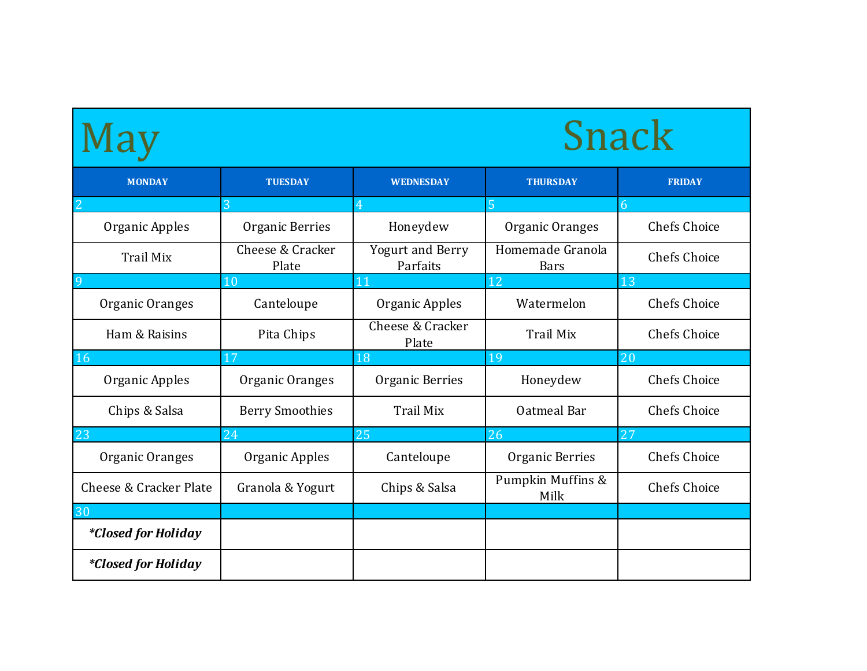|                            |                           |                                     |                           | <b>Snack</b>        |
|----------------------------|---------------------------|-------------------------------------|---------------------------|---------------------|
| <b>MONDAY</b>              | <b>TUESDAY</b>            | <b>WEDNESDAY</b>                    | <b>THURSDAY</b>           | <b>FRIDAY</b>       |
| Organic Apples             | Organic Berries           | Honeydew                            | Organic Oranges           | <b>Chefs Choice</b> |
| Trail Mix                  | Cheese & Cracker<br>Plate | <b>Yogurt and Berry</b><br>Parfaits | Homemade Granola<br>Bars  | Chefs Choice        |
|                            | 10                        |                                     | 12                        | 13                  |
| Organic Oranges            | Canteloupe                | Organic Apples                      | Watermelon                | Chefs Choice        |
| Ham & Raisins              | Pita Chips                | Cheese & Cracker<br>Plate           | Trail Mix                 | Chefs Choice        |
| 16                         | 17                        | 18                                  | 19                        | 20                  |
| Organic Apples             | Organic Oranges           | Organic Berries                     | Honeydew                  | Chefs Choice        |
| Chips & Salsa              | <b>Berry Smoothies</b>    | Trail Mix                           | Oatmeal Bar               | <b>Chefs Choice</b> |
| 23                         |                           | 25                                  | 26                        | 27                  |
| Organic Oranges            | Organic Apples            | Canteloupe                          | Organic Berries           | Chefs Choice        |
| Cheese & Cracker Plate     | Granola & Yogurt          | Chips & Salsa                       | Pumpkin Muffins &<br>Milk | Chefs Choice        |
|                            |                           |                                     |                           |                     |
| <i>*Closed for Holiday</i> |                           |                                     |                           |                     |
| <i>*Closed for Holiday</i> |                           |                                     |                           |                     |